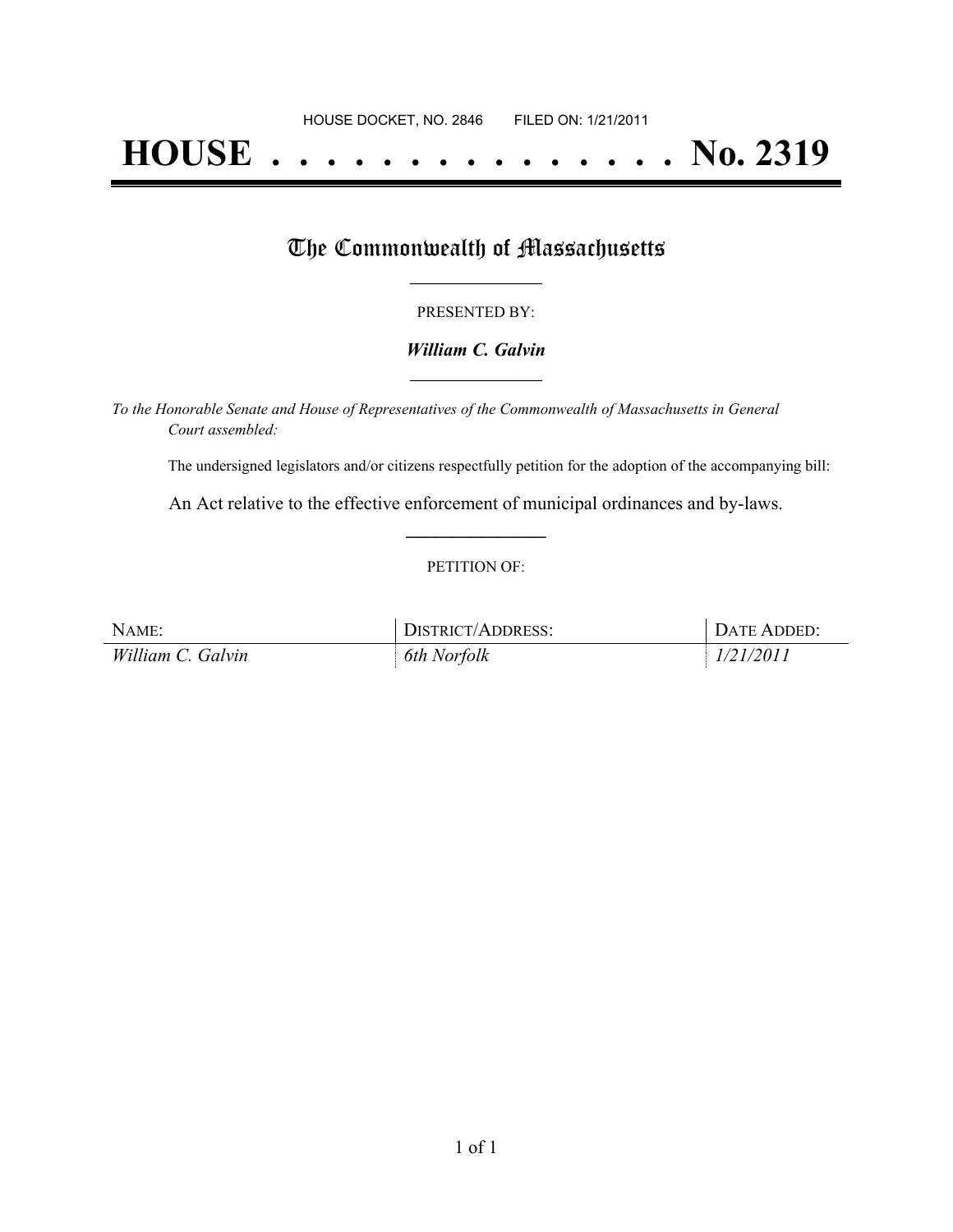# **HOUSE . . . . . . . . . . . . . . . No. 2319**

## The Commonwealth of Massachusetts

#### PRESENTED BY:

#### *William C. Galvin* **\_\_\_\_\_\_\_\_\_\_\_\_\_\_\_\_\_**

*To the Honorable Senate and House of Representatives of the Commonwealth of Massachusetts in General Court assembled:*

The undersigned legislators and/or citizens respectfully petition for the adoption of the accompanying bill:

An Act relative to the effective enforcement of municipal ordinances and by-laws. **\_\_\_\_\_\_\_\_\_\_\_\_\_\_\_**

#### PETITION OF:

| NAME:             | <b>DISTRICT/ADDRESS:</b> | DATE ADDED: |
|-------------------|--------------------------|-------------|
| William C. Galvin | 6th Norfolk              | 1/21/2011   |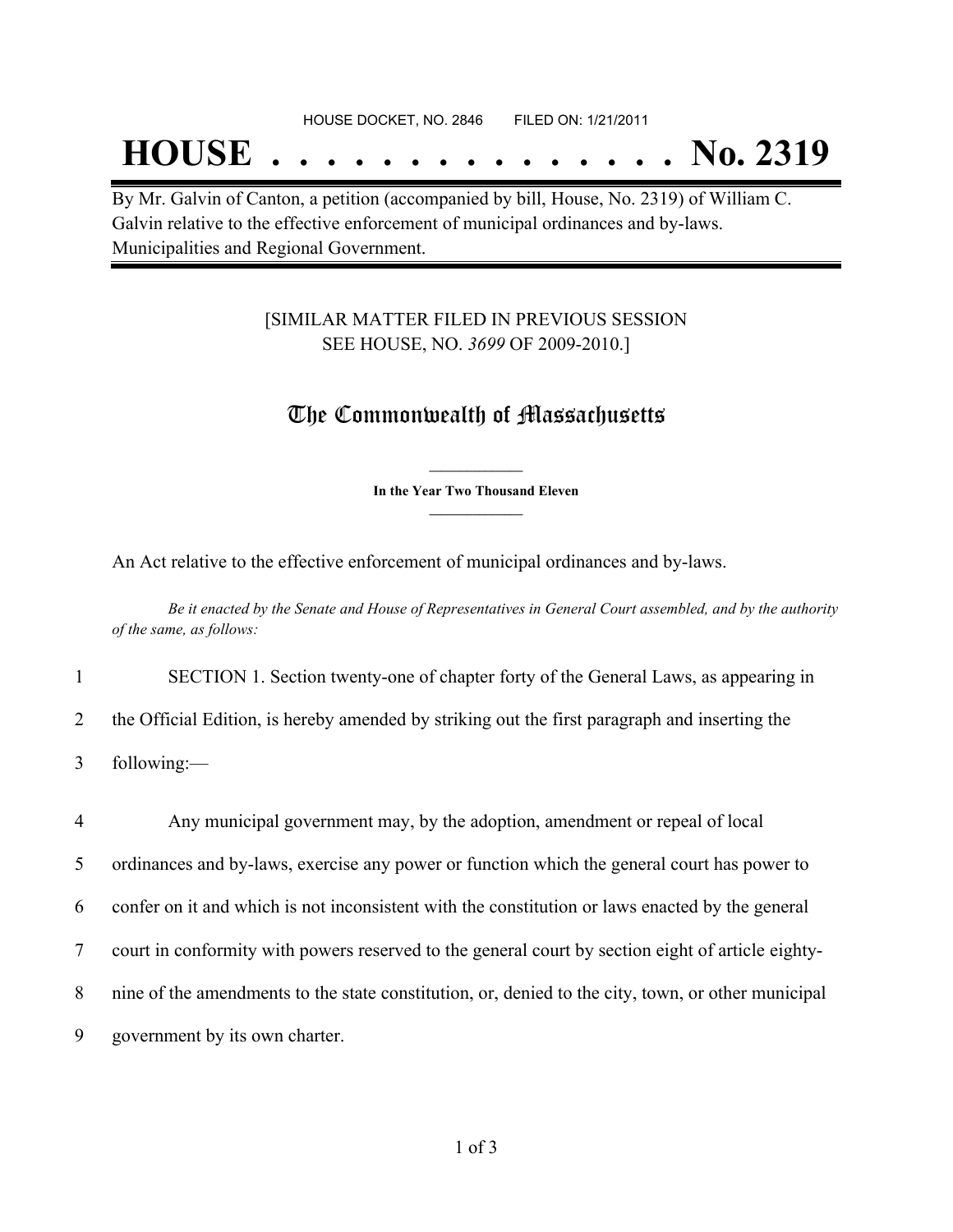## **HOUSE . . . . . . . . . . . . . . . No. 2319**

By Mr. Galvin of Canton, a petition (accompanied by bill, House, No. 2319) of William C. Galvin relative to the effective enforcement of municipal ordinances and by-laws. Municipalities and Regional Government.

### [SIMILAR MATTER FILED IN PREVIOUS SESSION SEE HOUSE, NO. *3699* OF 2009-2010.]

## The Commonwealth of Massachusetts

**\_\_\_\_\_\_\_\_\_\_\_\_\_\_\_ In the Year Two Thousand Eleven \_\_\_\_\_\_\_\_\_\_\_\_\_\_\_**

An Act relative to the effective enforcement of municipal ordinances and by-laws.

Be it enacted by the Senate and House of Representatives in General Court assembled, and by the authority *of the same, as follows:*

1 SECTION 1. Section twenty-one of chapter forty of the General Laws, as appearing in

2 the Official Edition, is hereby amended by striking out the first paragraph and inserting the

3 following:—

 Any municipal government may, by the adoption, amendment or repeal of local ordinances and by-laws, exercise any power or function which the general court has power to confer on it and which is not inconsistent with the constitution or laws enacted by the general court in conformity with powers reserved to the general court by section eight of article eighty- nine of the amendments to the state constitution, or, denied to the city, town, or other municipal government by its own charter.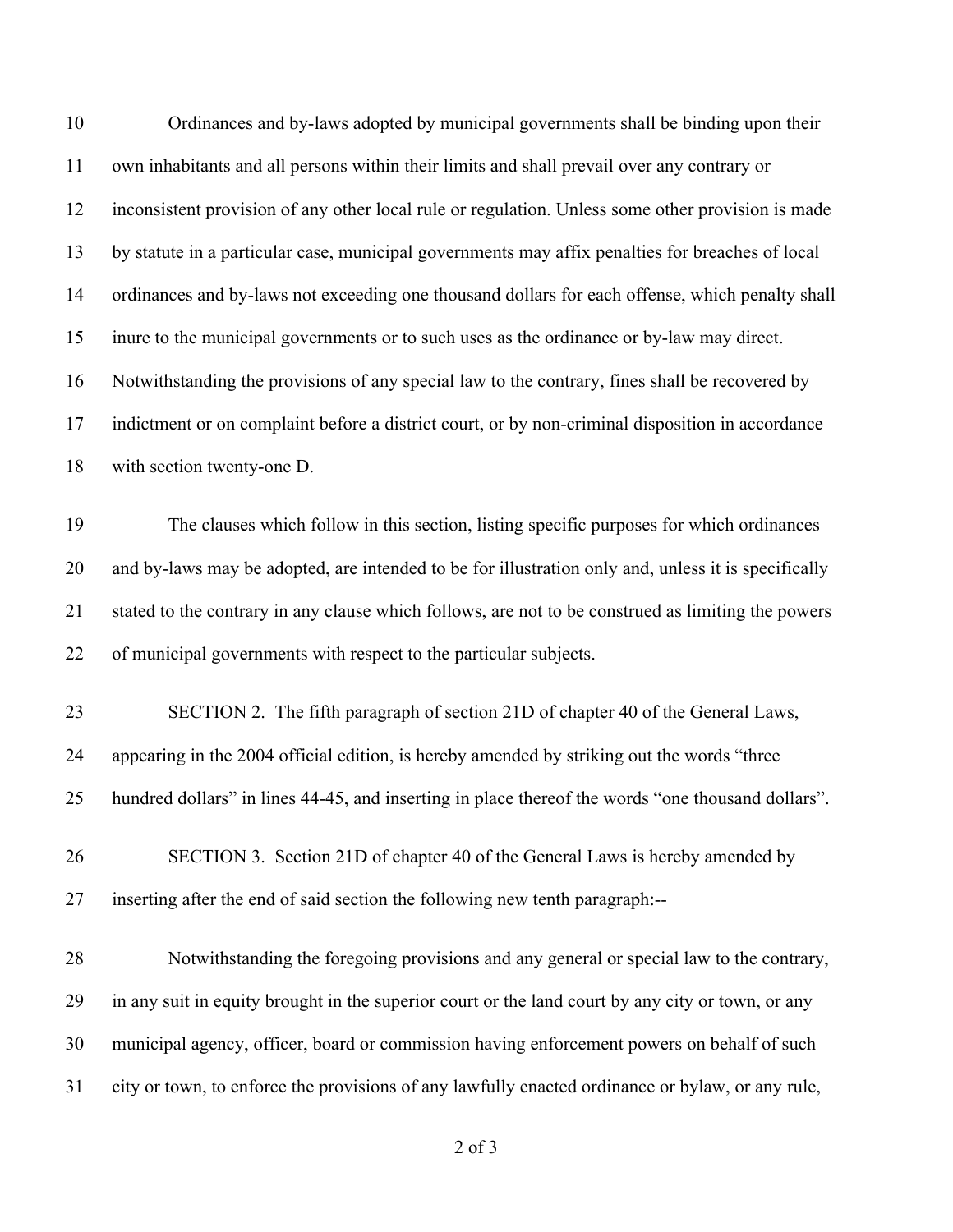| 10 | Ordinances and by-laws adopted by municipal governments shall be binding upon their                 |
|----|-----------------------------------------------------------------------------------------------------|
| 11 | own inhabitants and all persons within their limits and shall prevail over any contrary or          |
| 12 | inconsistent provision of any other local rule or regulation. Unless some other provision is made   |
| 13 | by statute in a particular case, municipal governments may affix penalties for breaches of local    |
| 14 | ordinances and by-laws not exceeding one thousand dollars for each offense, which penalty shall     |
| 15 | inure to the municipal governments or to such uses as the ordinance or by-law may direct.           |
| 16 | Notwithstanding the provisions of any special law to the contrary, fines shall be recovered by      |
| 17 | indictment or on complaint before a district court, or by non-criminal disposition in accordance    |
| 18 | with section twenty-one D.                                                                          |
| 19 | The clauses which follow in this section, listing specific purposes for which ordinances            |
| 20 | and by-laws may be adopted, are intended to be for illustration only and, unless it is specifically |
| 21 | stated to the contrary in any clause which follows, are not to be construed as limiting the powers  |
| 22 | of municipal governments with respect to the particular subjects.                                   |
| 23 | SECTION 2. The fifth paragraph of section 21D of chapter 40 of the General Laws,                    |
| 24 | appearing in the 2004 official edition, is hereby amended by striking out the words "three          |
| 25 | hundred dollars" in lines 44-45, and inserting in place thereof the words "one thousand dollars".   |
| 26 | SECTION 3. Section 21D of chapter 40 of the General Laws is hereby amended by                       |
| 27 | inserting after the end of said section the following new tenth paragraph:--                        |
| 28 | Notwithstanding the foregoing provisions and any general or special law to the contrary,            |
| 29 | in any suit in equity brought in the superior court or the land court by any city or town, or any   |
| 30 | municipal agency, officer, board or commission having enforcement powers on behalf of such          |
| 31 | city or town, to enforce the provisions of any lawfully enacted ordinance or bylaw, or any rule,    |
|    |                                                                                                     |

of 3